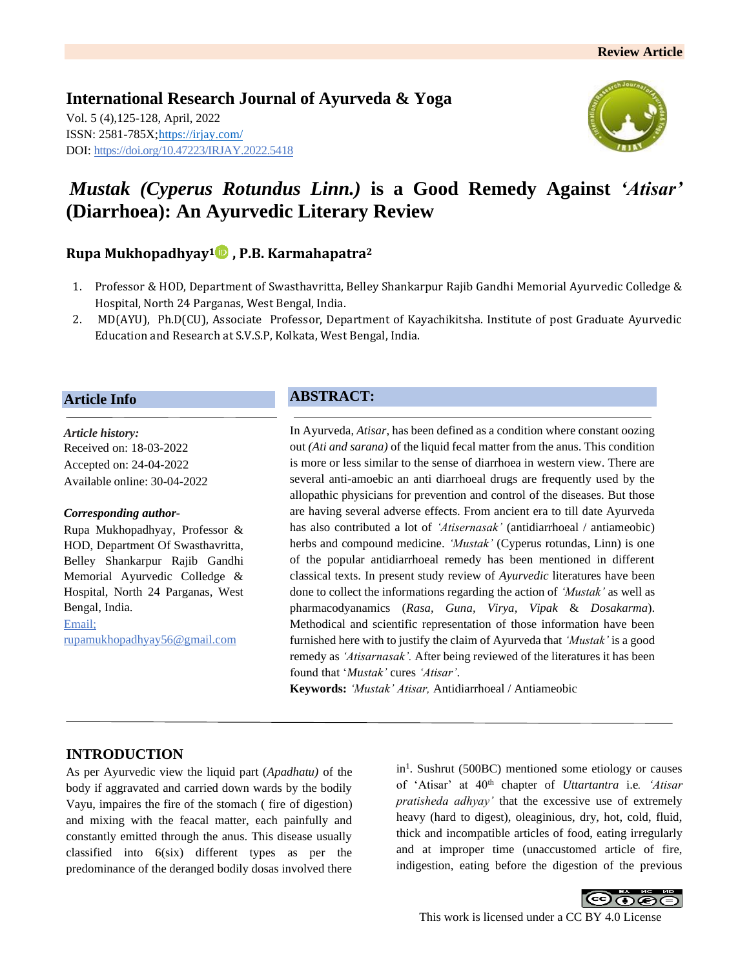**International Research Journal of Ayurveda & Yoga** Vol. 5 (4),125-128, April, 2022 ISSN: 2581-785X[; https://irjay.com/](https://irjay.com/) DOI: https://doi.org/10.47223/IRJAY.2022.5418



# *Mustak (Cyperus Rotundus Linn.)* **is a Good Remedy Against** *'Atisar'* **(Diarrhoea): An Ayurvedic Literary Review**

## **Rupa Mukhopadhyay1 , P.B. Karmahapatra<sup>2</sup>**

- 1. Professor & HOD, Department of Swasthavritta, Belley Shankarpur Rajib Gandhi Memorial Ayurvedic Colledge & Hospital, North 24 Parganas, West Bengal, India.
- 2. MD(AYU), Ph.D(CU), Associate Professor, Department of Kayachikitsha. Institute of post Graduate Ayurvedic Education and Research at S.V.S.P, Kolkata, West Bengal, India.

#### **Article Info**

*Article history:* Received on: 18-03-2022 Accepted on: 24-04-2022 Available online: 30-04-2022

#### *Corresponding author-*

Rupa Mukhopadhyay, Professor & HOD, Department Of Swasthavritta, Belley Shankarpur Rajib Gandhi Memorial Ayurvedic Colledge & Hospital, North 24 Parganas, West Bengal, India.

Email; rupamukhopadhyay56@gmail.com

## **ABSTRACT:**

In Ayurveda, *Atisar*, has been defined as a condition where constant oozing out *(Ati and sarana)* of the liquid fecal matter from the anus. This condition is more or less similar to the sense of diarrhoea in western view. There are several anti-amoebic an anti diarrhoeal drugs are frequently used by the allopathic physicians for prevention and control of the diseases. But those are having several adverse effects. From ancient era to till date Ayurveda has also contributed a lot of *'Atisernasak'* (antidiarrhoeal / antiameobic) herbs and compound medicine. *'Mustak'* (Cyperus rotundas, Linn) is one of the popular antidiarrhoeal remedy has been mentioned in different classical texts. In present study review of *Ayurvedic* literatures have been done to collect the informations regarding the action of *'Mustak'* as well as pharmacodyanamics (*Rasa, Guna, Virya, Vipak* & *Dosakarma*). Methodical and scientific representation of those information have been furnished here with to justify the claim of Ayurveda that *'Mustak'* is a good remedy as *'Atisarnasak'.* After being reviewed of the literatures it has been found that '*Mustak'* cures *'Atisar'*.

**Keywords:** *'Mustak' Atisar,* Antidiarrhoeal / Antiameobic

### **INTRODUCTION**

As per Ayurvedic view the liquid part (*Apadhatu)* of the body if aggravated and carried down wards by the bodily Vayu, impaires the fire of the stomach ( fire of digestion) and mixing with the feacal matter, each painfully and constantly emitted through the anus. This disease usually classified into 6(six) different types as per the predominance of the deranged bodily dosas involved there

in<sup>1</sup>. Sushrut (500BC) mentioned some etiology or causes of 'Atisar' at 40th chapter of *Uttartantra* i.e*. 'Atisar pratisheda adhyay'* that the excessive use of extremely heavy (hard to digest), oleaginious, dry, hot, cold, fluid, thick and incompatible articles of food, eating irregularly and at improper time (unaccustomed article of fire, indigestion, eating before the digestion of the previous

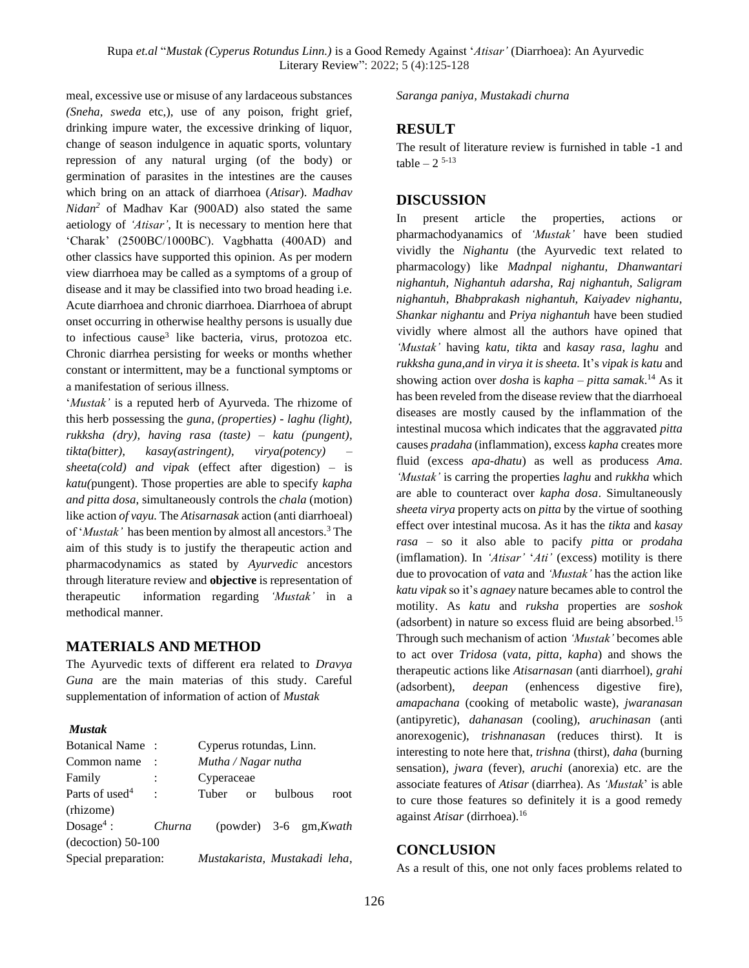meal, excessive use or misuse of any lardaceous substances *(Sneha, sweda* etc,), use of any poison, fright grief, drinking impure water, the excessive drinking of liquor, change of season indulgence in aquatic sports, voluntary repression of any natural urging (of the body) or germination of parasites in the intestines are the causes which bring on an attack of diarrhoea (*Atisar*). *Madhav Nidan<sup>2</sup>* of Madhav Kar (900AD) also stated the same aetiology of *'Atisar'*, It is necessary to mention here that 'Charak' (2500BC/1000BC). Vagbhatta (400AD) and other classics have supported this opinion. As per modern view diarrhoea may be called as a symptoms of a group of disease and it may be classified into two broad heading i.e. Acute diarrhoea and chronic diarrhoea. Diarrhoea of abrupt onset occurring in otherwise healthy persons is usually due to infectious cause<sup>3</sup> like bacteria, virus, protozoa etc. Chronic diarrhea persisting for weeks or months whether constant or intermittent, may be a functional symptoms or a manifestation of serious illness.

'*Mustak'* is a reputed herb of Ayurveda. The rhizome of this herb possessing the *guna, (properties) - laghu (light), rukksha (dry), having rasa (taste) – katu (pungent), tikta(bitter), kasay(astringent), virya(potency) – sheeta(cold) and vipak* (effect after digestion) – is *katu(*pungent). Those properties are able to specify *kapha and pitta dosa*, simultaneously controls the *chala* (motion) like action *of vayu.* The *Atisarnasak* action (anti diarrhoeal) of '*Mustak'* has been mention by almost all ancestors.<sup>3</sup> The aim of this study is to justify the therapeutic action and pharmacodynamics as stated by *Ayurvedic* ancestors through literature review and **objective** is representation of therapeutic information regarding *'Mustak'* in a methodical manner.

### **MATERIALS AND METHOD**

The Ayurvedic texts of different era related to *Dravya Guna* are the main materias of this study. Careful supplementation of information of action of *Mustak*

#### *Mustak*

| <b>Botanical Name:</b>     |                               | Cyperus rotundas, Linn. |  |                          |  |      |
|----------------------------|-------------------------------|-------------------------|--|--------------------------|--|------|
| Common name                |                               | Mutha / Nagar nutha     |  |                          |  |      |
| Family                     | :                             | Cyperaceae              |  |                          |  |      |
| Parts of used <sup>4</sup> | $\ddot{\phantom{0}}$          | Tuber or                |  | bulbous                  |  | root |
| (rhizome)                  |                               |                         |  |                          |  |      |
| $Dosage4$ :                | Churna                        |                         |  | (powder) $3-6$ gm, Kwath |  |      |
| $(decoction)$ 50-100       |                               |                         |  |                          |  |      |
| Special preparation:       | Mustakarista, Mustakadi leha, |                         |  |                          |  |      |

*Saranga paniya, Mustakadi churna*

#### **RESULT**

The result of literature review is furnished in table -1 and table  $-2$ <sup>5-13</sup>

#### **DISCUSSION**

In present article the properties, actions or pharmachodyanamics of *'Mustak'* have been studied vividly the *Nighantu* (the Ayurvedic text related to pharmacology) like *Madnpal nighantu, Dhanwantari nighantuh, Nighantuh adarsha, Raj nighantuh, Saligram nighantuh, Bhabprakash nighantuh, Kaiyadev nighantu, Shankar nighantu* and *Priya nighantuh* have been studied vividly where almost all the authors have opined that *'Mustak'* having *katu, tikta* and *kasay rasa, laghu* and *rukksha guna,and in virya it is sheeta.* It's *vipak is katu* and showing action over *dosha* is *kapha – pitta samak*. <sup>14</sup> As it has been reveled from the disease review that the diarrhoeal diseases are mostly caused by the inflammation of the intestinal mucosa which indicates that the aggravated *pitta* causes *pradaha* (inflammation), excess *kapha* creates more fluid (excess *apa-dhatu*) as well as producess *Ama*. *'Mustak'* is carring the properties *laghu* and *rukkha* which are able to counteract over *kapha dosa*. Simultaneously *sheeta virya* property acts on *pitta* by the virtue of soothing effect over intestinal mucosa. As it has the *tikta* and *kasay rasa* – so it also able to pacify *pitta* or *prodaha* (imflamation). In *'Atisar'* '*Ati'* (excess) motility is there due to provocation of *vata* and *'Mustak'* has the action like *katu vipak* so it's *agnaey* nature becames able to control the motility. As *katu* and *ruksha* properties are *soshok* (adsorbent) in nature so excess fluid are being absorbed.<sup>15</sup> Through such mechanism of action *'Mustak'* becomes able to act over *Tridosa* (*vata, pitta, kapha*) and shows the therapeutic actions like *Atisarnasan* (anti diarrhoel), *grahi* (adsorbent), *deepan* (enhencess digestive fire), *amapachana* (cooking of metabolic waste), *jwaranasan* (antipyretic), *dahanasan* (cooling), *aruchinasan* (anti anorexogenic), *trishnanasan* (reduces thirst). It is interesting to note here that, *trishna* (thirst), *daha* (burning sensation), *jwara* (fever), *aruchi* (anorexia) etc. are the associate features of *Atisar* (diarrhea). As *'Mustak*' is able to cure those features so definitely it is a good remedy against *Atisar* (dirrhoea).<sup>16</sup>

#### **CONCLUSION**

As a result of this, one not only faces problems related to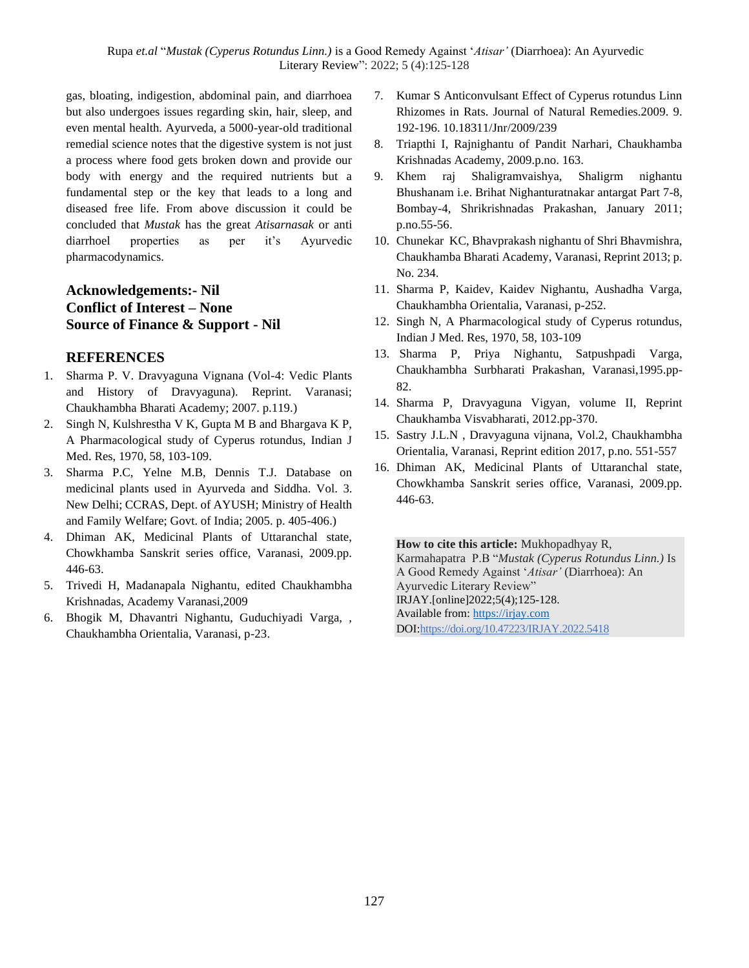Rupa *et.al* "*Mustak (Cyperus Rotundus Linn.)* is a Good Remedy Against '*Atisar'* (Diarrhoea): An Ayurvedic Literary Review": 2022; 5 (4):125-128

gas, bloating, indigestion, abdominal pain, and diarrhoea but also undergoes issues regarding skin, hair, sleep, and even mental health. Ayurveda, a 5000-year-old traditional remedial science notes that the digestive system is not just a process where food gets broken down and provide our body with energy and the required nutrients but a fundamental step or the key that leads to a long and diseased free life. From above discussion it could be concluded that *Mustak* has the great *Atisarnasak* or anti diarrhoel properties as per it's Ayurvedic pharmacodynamics.

## **Acknowledgements:- Nil Conflict of Interest – None Source of Finance & Support - Nil**

#### **REFERENCES**

- 1. Sharma P. V. Dravyaguna Vignana (Vol-4: Vedic Plants and History of Dravyaguna). Reprint. Varanasi; Chaukhambha Bharati Academy; 2007. p.119.)
- 2. Singh N, Kulshrestha V K, Gupta M B and Bhargava K P, A Pharmacological study of Cyperus rotundus, Indian J Med. Res, 1970, 58, 103-109.
- 3. Sharma P.C, Yelne M.B, Dennis T.J. Database on medicinal plants used in Ayurveda and Siddha. Vol. 3. New Delhi; CCRAS, Dept. of AYUSH; Ministry of Health and Family Welfare; Govt. of India; 2005. p. 405-406.)
- 4. Dhiman AK, Medicinal Plants of Uttaranchal state, Chowkhamba Sanskrit series office, Varanasi, 2009.pp. 446-63.
- 5. Trivedi H, Madanapala Nighantu, edited Chaukhambha Krishnadas, Academy Varanasi,2009
- 6. Bhogik M, Dhavantri Nighantu, Guduchiyadi Varga, , Chaukhambha Orientalia, Varanasi, p-23.
- 7. Kumar S Anticonvulsant Effect of Cyperus rotundus Linn Rhizomes in Rats. Journal of Natural Remedies.2009. 9. 192-196. 10.18311/Jnr/2009/239
- 8. Triapthi I, Rajnighantu of Pandit Narhari, Chaukhamba Krishnadas Academy, 2009.p.no. 163.
- 9. Khem raj Shaligramvaishya, Shaligrm nighantu Bhushanam i.e. Brihat Nighanturatnakar antargat Part 7-8, Bombay-4, Shrikrishnadas Prakashan, January 2011; p.no.55-56.
- 10. Chunekar KC, Bhavprakash nighantu of Shri Bhavmishra, Chaukhamba Bharati Academy, Varanasi, Reprint 2013; p. No. 234.
- 11. Sharma P, Kaidev, Kaidev Nighantu, Aushadha Varga, Chaukhambha Orientalia, Varanasi, p-252.
- 12. Singh N, A Pharmacological study of Cyperus rotundus, Indian J Med. Res, 1970, 58, 103-109
- 13. Sharma P, Priya Nighantu, Satpushpadi Varga, Chaukhambha Surbharati Prakashan, Varanasi,1995.pp-82.
- 14. Sharma P, Dravyaguna Vigyan, volume II, Reprint Chaukhamba Visvabharati, 2012.pp-370.
- 15. Sastry J.L.N , Dravyaguna vijnana, Vol.2, Chaukhambha Orientalia, Varanasi, Reprint edition 2017, p.no. 551-557
- 16. Dhiman AK, Medicinal Plants of Uttaranchal state, Chowkhamba Sanskrit series office, Varanasi, 2009.pp. 446-63.

**How to cite this article:** Mukhopadhyay R, Karmahapatra P.B "*Mustak (Cyperus Rotundus Linn.)* Is A Good Remedy Against '*Atisar'* (Diarrhoea): An Ayurvedic Literary Review" IRJAY.[online]2022;5(4);125-128. Available from: [https://irjay.com](https://irjay.com/) DOI:https://doi.org/10.47223/IRJAY.2022.5418